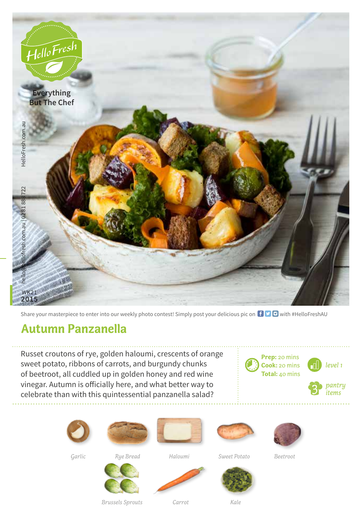

Share your masterpiece to enter into our weekly photo contest! Simply post your delicious pic on  $\bigoplus$   $\bigoplus$  with #HelloFreshAU

## **Autumn Panzanella**

Russet croutons of rye, golden haloumi, crescents of orange sweet potato, ribbons of carrots, and burgundy chunks of beetroot, all cuddled up in golden honey and red wine vinegar. Autumn is officially here, and what better way to celebrate than with this quintessential panzanella salad?













*Garlic*

*Rye Bread Haloumi*

*Carrot*

*Sweet Potato*





*Beetroot*



*Brussels Sprouts*



*Kale*